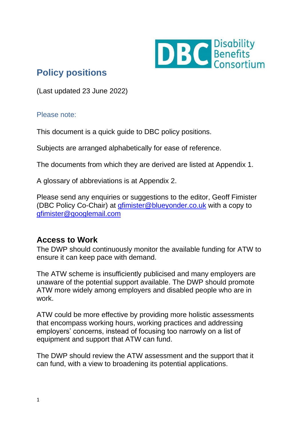

# **Policy positions**

(Last updated 23 June 2022)

#### Please note:

This document is a quick guide to DBC policy positions.

Subjects are arranged alphabetically for ease of reference.

The documents from which they are derived are listed at Appendix 1.

A glossary of abbreviations is at Appendix 2.

Please send any enquiries or suggestions to the editor, Geoff Fimister (DBC Policy Co-Chair) at [gfimister@blueyonder.co.uk](mailto:gfimister@blueyonder.co.uk) with a copy to [gfimister@googlemail.com](mailto:gfimister@googlemail.com)

# **Access to Work**

The DWP should continuously monitor the available funding for ATW to ensure it can keep pace with demand.

The ATW scheme is insufficiently publicised and many employers are unaware of the potential support available. The DWP should promote ATW more widely among employers and disabled people who are in work.

ATW could be more effective by providing more holistic assessments that encompass working hours, working practices and addressing employers' concerns, instead of focusing too narrowly on a list of equipment and support that ATW can fund.

The DWP should review the ATW assessment and the support that it can fund, with a view to broadening its potential applications.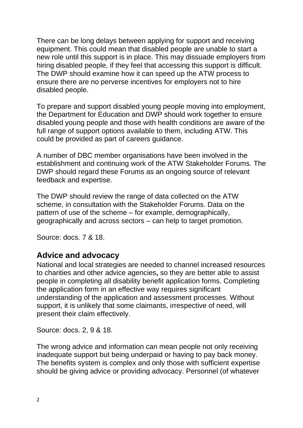There can be long delays between applying for support and receiving equipment. This could mean that disabled people are unable to start a new role until this support is in place. This may dissuade employers from hiring disabled people, if they feel that accessing this support is difficult. The DWP should examine how it can speed up the ATW process to ensure there are no perverse incentives for employers not to hire disabled people.

To prepare and support disabled young people moving into employment, the Department for Education and DWP should work together to ensure disabled young people and those with health conditions are aware of the full range of support options available to them, including ATW. This could be provided as part of careers guidance.

A number of DBC member organisations have been involved in the establishment and continuing work of the ATW Stakeholder Forums. The DWP should regard these Forums as an ongoing source of relevant feedback and expertise.

The DWP should review the range of data collected on the ATW scheme, in consultation with the Stakeholder Forums. Data on the pattern of use of the scheme – for example, demographically, geographically and across sectors – can help to target promotion.

Source: docs. 7 & 18.

#### **Advice and advocacy**

National and local strategies are needed to channel increased resources to charities and other advice agencies**,** so they are better able to assist people in completing all disability benefit application forms. Completing the application form in an effective way requires significant understanding of the application and assessment processes. Without support, it is unlikely that some claimants, irrespective of need, will present their claim effectively.

Source: docs. 2, 9 & 18.

The wrong advice and information can mean people not only receiving inadequate support but being underpaid or having to pay back money. The benefits system is complex and only those with sufficient expertise should be giving advice or providing advocacy. Personnel (of whatever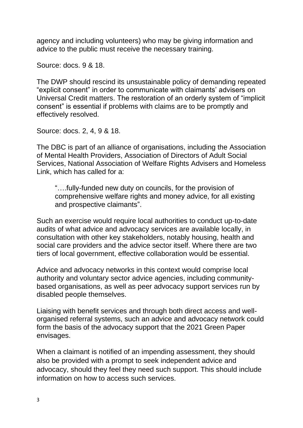agency and including volunteers) who may be giving information and advice to the public must receive the necessary training.

Source: docs. 9 & 18.

The DWP should rescind its unsustainable policy of demanding repeated "explicit consent" in order to communicate with claimants' advisers on Universal Credit matters. The restoration of an orderly system of "implicit consent" is essential if problems with claims are to be promptly and effectively resolved.

Source: docs. 2, 4, 9 & 18.

The DBC is part of an alliance of organisations, including the Association of Mental Health Providers, Association of Directors of Adult Social Services, National Association of Welfare Rights Advisers and Homeless Link, which has called for a:

"….fully-funded new duty on councils, for the provision of comprehensive welfare rights and money advice, for all existing and prospective claimants".

Such an exercise would require local authorities to conduct up-to-date audits of what advice and advocacy services are available locally, in consultation with other key stakeholders, notably housing, health and social care providers and the advice sector itself. Where there are two tiers of local government, effective collaboration would be essential.

Advice and advocacy networks in this context would comprise local authority and voluntary sector advice agencies, including communitybased organisations, as well as peer advocacy support services run by disabled people themselves.

Liaising with benefit services and through both direct access and wellorganised referral systems, such an advice and advocacy network could form the basis of the advocacy support that the 2021 Green Paper envisages.

When a claimant is notified of an impending assessment, they should also be provided with a prompt to seek independent advice and advocacy, should they feel they need such support. This should include information on how to access such services.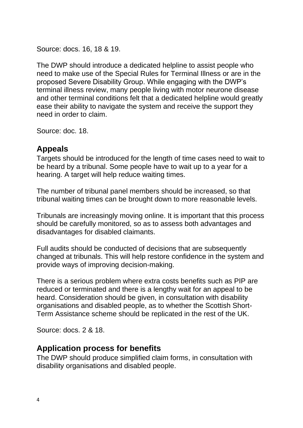Source: docs. 16, 18 & 19.

The DWP should introduce a dedicated helpline to assist people who need to make use of the Special Rules for Terminal Illness or are in the proposed Severe Disability Group. While engaging with the DWP's terminal illness review, many people living with motor neurone disease and other terminal conditions felt that a dedicated helpline would greatly ease their ability to navigate the system and receive the support they need in order to claim.

Source: doc. 18.

## **Appeals**

Targets should be introduced for the length of time cases need to wait to be heard by a tribunal. Some people have to wait up to a year for a hearing. A target will help reduce waiting times.

The number of tribunal panel members should be increased, so that tribunal waiting times can be brought down to more reasonable levels.

Tribunals are increasingly moving online. It is important that this process should be carefully monitored, so as to assess both advantages and disadvantages for disabled claimants.

Full audits should be conducted of decisions that are subsequently changed at tribunals. This will help restore confidence in the system and provide ways of improving decision-making.

There is a serious problem where extra costs benefits such as PIP are reduced or terminated and there is a lengthy wait for an appeal to be heard. Consideration should be given, in consultation with disability organisations and disabled people, as to whether the Scottish Short-Term Assistance scheme should be replicated in the rest of the UK.

Source: docs. 2 & 18.

## **Application process for benefits**

The DWP should produce simplified claim forms, in consultation with disability organisations and disabled people.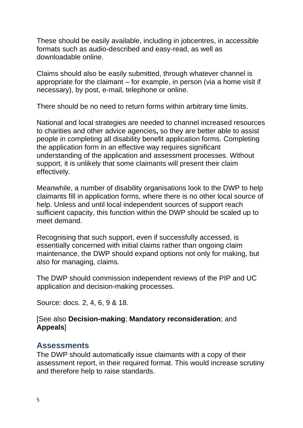These should be easily available, including in jobcentres, in accessible formats such as audio-described and easy-read, as well as downloadable online.

Claims should also be easily submitted, through whatever channel is appropriate for the claimant – for example, in person (via a home visit if necessary), by post, e-mail, telephone or online.

There should be no need to return forms within arbitrary time limits.

National and local strategies are needed to channel increased resources to charities and other advice agencies**,** so they are better able to assist people in completing all disability benefit application forms. Completing the application form in an effective way requires significant understanding of the application and assessment processes. Without support, it is unlikely that some claimants will present their claim effectively.

Meanwhile, a number of disability organisations look to the DWP to help claimants fill in application forms, where there is no other local source of help. Unless and until local independent sources of support reach sufficient capacity, this function within the DWP should be scaled up to meet demand.

Recognising that such support, even if successfully accessed, is essentially concerned with initial claims rather than ongoing claim maintenance, the DWP should expand options not only for making, but also for managing, claims.

The DWP should commission independent reviews of the PIP and UC application and decision-making processes.

Source: docs. 2, 4, 6, 9 & 18.

#### [See also **Decision-making**; **Mandatory reconsideration**; and **Appeals**]

## **Assessments**

The DWP should automatically issue claimants with a copy of their assessment report, in their required format. This would increase scrutiny and therefore help to raise standards.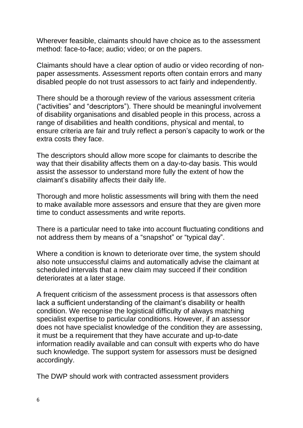Wherever feasible, claimants should have choice as to the assessment method: face-to-face; audio; video; or on the papers.

Claimants should have a clear option of audio or video recording of nonpaper assessments. Assessment reports often contain errors and many disabled people do not trust assessors to act fairly and independently.

There should be a thorough review of the various assessment criteria ("activities" and "descriptors"). There should be meaningful involvement of disability organisations and disabled people in this process, across a range of disabilities and health conditions, physical and mental, to ensure criteria are fair and truly reflect a person's capacity to work or the extra costs they face.

The descriptors should allow more scope for claimants to describe the way that their disability affects them on a day-to-day basis. This would assist the assessor to understand more fully the extent of how the claimant's disability affects their daily life.

Thorough and more holistic assessments will bring with them the need to make available more assessors and ensure that they are given more time to conduct assessments and write reports.

There is a particular need to take into account fluctuating conditions and not address them by means of a "snapshot" or "typical day".

Where a condition is known to deteriorate over time, the system should also note unsuccessful claims and automatically advise the claimant at scheduled intervals that a new claim may succeed if their condition deteriorates at a later stage.

A frequent criticism of the assessment process is that assessors often lack a sufficient understanding of the claimant's disability or health condition. We recognise the logistical difficulty of always matching specialist expertise to particular conditions. However, if an assessor does not have specialist knowledge of the condition they are assessing, it must be a requirement that they have accurate and up-to-date information readily available and can consult with experts who do have such knowledge. The support system for assessors must be designed accordingly.

The DWP should work with contracted assessment providers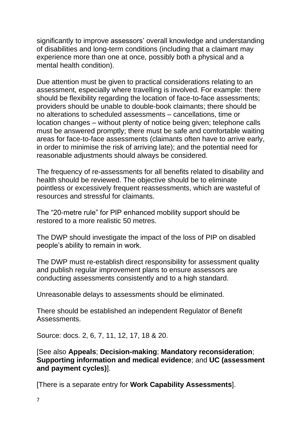significantly to improve assessors' overall knowledge and understanding of disabilities and long-term conditions (including that a claimant may experience more than one at once, possibly both a physical and a mental health condition).

Due attention must be given to practical considerations relating to an assessment, especially where travelling is involved. For example: there should be flexibility regarding the location of face-to-face assessments; providers should be unable to double-book claimants; there should be no alterations to scheduled assessments – cancellations, time or location changes – without plenty of notice being given; telephone calls must be answered promptly; there must be safe and comfortable waiting areas for face-to-face assessments (claimants often have to arrive early, in order to minimise the risk of arriving late); and the potential need for reasonable adjustments should always be considered.

The frequency of re-assessments for all benefits related to disability and health should be reviewed. The objective should be to eliminate pointless or excessively frequent reassessments, which are wasteful of resources and stressful for claimants.

The "20-metre rule" for PIP enhanced mobility support should be restored to a more realistic 50 metres.

The DWP should investigate the impact of the loss of PIP on disabled people's ability to remain in work.

The DWP must re-establish direct responsibility for assessment quality and publish regular improvement plans to ensure assessors are conducting assessments consistently and to a high standard.

Unreasonable delays to assessments should be eliminated.

There should be established an independent Regulator of Benefit Assessments.

Source: docs. 2, 6, 7, 11, 12, 17, 18 & 20.

[See also **Appeals**; **Decision-making**; **Mandatory reconsideration**; **Supporting information and medical evidence**; and **UC (assessment and payment cycles)**].

[There is a separate entry for **Work Capability Assessments**].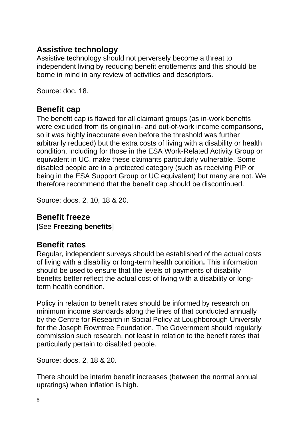## **Assistive technology**

Assistive technology should not perversely become a threat to independent living by reducing benefit entitlements and this should be borne in mind in any review of activities and descriptors.

Source: doc. 18.

## **Benefit cap**

The benefit cap is flawed for all claimant groups (as in-work benefits were excluded from its original in- and out-of-work income comparisons, so it was highly inaccurate even before the threshold was further arbitrarily reduced) but the extra costs of living with a disability or health condition, including for those in the ESA Work-Related Activity Group or equivalent in UC, make these claimants particularly vulnerable. Some disabled people are in a protected category (such as receiving PIP or being in the ESA Support Group or UC equivalent) but many are not. We therefore recommend that the benefit cap should be discontinued.

Source: docs. 2, 10, 18 & 20.

# **Benefit freeze**

[See **Freezing benefits**]

# **Benefit rates**

Regular, independent surveys should be established of the actual costs of living with a disability or long-term health condition**.** This information should be used to ensure that the levels of paymen**t**s of disability benefits better reflect the actual cost of living with a disability or longterm health condition.

Policy in relation to benefit rates should be informed by research on minimum income standards along the lines of that conducted annually by the Centre for Research in Social Policy at Loughborough University for the Joseph Rowntree Foundation. The Government should regularly commission such research, not least in relation to the benefit rates that particularly pertain to disabled people.

Source: docs. 2, 18 & 20.

There should be interim benefit increases (between the normal annual upratings) when inflation is high.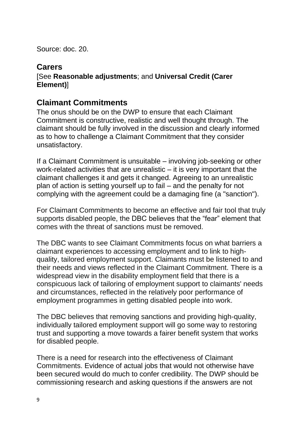Source: doc. 20.

#### **Carers**

#### [See **Reasonable adjustments**; and **Universal Credit (Carer Element)**]

### **Claimant Commitments**

The onus should be on the DWP to ensure that each Claimant Commitment is constructive, realistic and well thought through. The claimant should be fully involved in the discussion and clearly informed as to how to challenge a Claimant Commitment that they consider unsatisfactory.

If a Claimant Commitment is unsuitable – involving job-seeking or other work-related activities that are unrealistic – it is very important that the claimant challenges it and gets it changed. Agreeing to an unrealistic plan of action is setting yourself up to fail – and the penalty for not complying with the agreement could be a damaging fine (a "sanction").

For Claimant Commitments to become an effective and fair tool that truly supports disabled people, the DBC believes that the "fear" element that comes with the threat of sanctions must be removed.

The DBC wants to see Claimant Commitments focus on what barriers a claimant experiences to accessing employment and to link to highquality, tailored employment support. Claimants must be listened to and their needs and views reflected in the Claimant Commitment. There is a widespread view in the disability employment field that there is a conspicuous lack of tailoring of employment support to claimants' needs and circumstances, reflected in the relatively poor performance of employment programmes in getting disabled people into work.

The DBC believes that removing sanctions and providing high-quality, individually tailored employment support will go some way to restoring trust and supporting a move towards a fairer benefit system that works for disabled people.

There is a need for research into the effectiveness of Claimant Commitments. Evidence of actual jobs that would not otherwise have been secured would do much to confer credibility. The DWP should be commissioning research and asking questions if the answers are not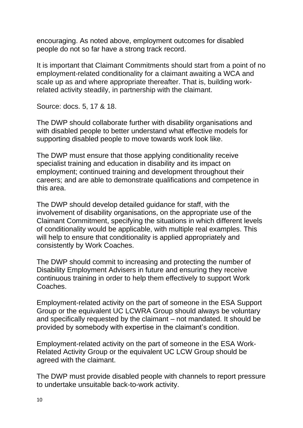encouraging. As noted above, employment outcomes for disabled people do not so far have a strong track record.

It is important that Claimant Commitments should start from a point of no employment-related conditionality for a claimant awaiting a WCA and scale up as and where appropriate thereafter. That is, building workrelated activity steadily, in partnership with the claimant.

Source: docs. 5, 17 & 18.

The DWP should collaborate further with disability organisations and with disabled people to better understand what effective models for supporting disabled people to move towards work look like.

The DWP must ensure that those applying conditionality receive specialist training and education in disability and its impact on employment; continued training and development throughout their careers; and are able to demonstrate qualifications and competence in this area.

The DWP should develop detailed guidance for staff, with the involvement of disability organisations, on the appropriate use of the Claimant Commitment, specifying the situations in which different levels of conditionality would be applicable, with multiple real examples. This will help to ensure that conditionality is applied appropriately and consistently by Work Coaches.

The DWP should commit to increasing and protecting the number of Disability Employment Advisers in future and ensuring they receive continuous training in order to help them effectively to support Work Coaches.

Employment-related activity on the part of someone in the ESA Support Group or the equivalent UC LCWRA Group should always be voluntary and specifically requested by the claimant – not mandated. It should be provided by somebody with expertise in the claimant's condition.

Employment-related activity on the part of someone in the ESA Work-Related Activity Group or the equivalent UC LCW Group should be agreed with the claimant.

The DWP must provide disabled people with channels to report pressure to undertake unsuitable back-to-work activity.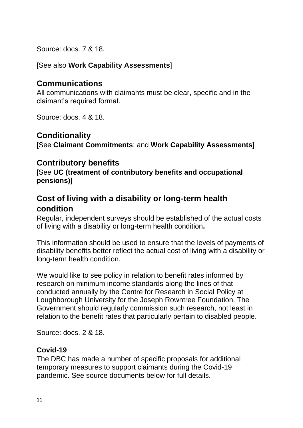Source: docs. 7 & 18.

[See also **Work Capability Assessments**]

## **Communications**

All communications with claimants must be clear, specific and in the claimant's required format.

Source: docs. 4 & 18.

## **Conditionality**

[See **Claimant Commitments**; and **Work Capability Assessments**]

## **Contributory benefits**

[See **UC (treatment of contributory benefits and occupational pensions)**]

## **Cost of living with a disability or long-term health condition**

Regular, independent surveys should be established of the actual costs of living with a disability or long-term health condition**.** 

This information should be used to ensure that the levels of payments of disability benefits better reflect the actual cost of living with a disability or long-term health condition.

We would like to see policy in relation to benefit rates informed by research on minimum income standards along the lines of that conducted annually by the Centre for Research in Social Policy at Loughborough University for the Joseph Rowntree Foundation. The Government should regularly commission such research, not least in relation to the benefit rates that particularly pertain to disabled people.

Source: docs. 2 & 18.

#### **Covid-19**

The DBC has made a number of specific proposals for additional temporary measures to support claimants during the Covid-19 pandemic. See source documents below for full details.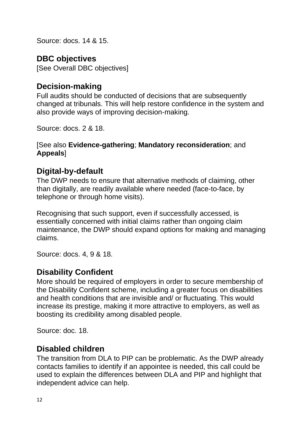Source: docs. 14 & 15.

## **DBC objectives**

[See Overall DBC objectives]

## **Decision-making**

Full audits should be conducted of decisions that are subsequently changed at tribunals. This will help restore confidence in the system and also provide ways of improving decision-making.

Source: docs. 2 & 18.

#### [See also **Evidence-gathering**; **Mandatory reconsideration**; and **Appeals**]

## **Digital-by-default**

The DWP needs to ensure that alternative methods of claiming, other than digitally, are readily available where needed (face-to-face, by telephone or through home visits).

Recognising that such support, even if successfully accessed, is essentially concerned with initial claims rather than ongoing claim maintenance, the DWP should expand options for making and managing claims.

Source: docs. 4, 9 & 18.

## **Disability Confident**

More should be required of employers in order to secure membership of the Disability Confident scheme, including a greater focus on disabilities and health conditions that are invisible and/ or fluctuating. This would increase its prestige, making it more attractive to employers, as well as boosting its credibility among disabled people.

Source: doc. 18.

#### **Disabled children**

The transition from DLA to PIP can be problematic. As the DWP already contacts families to identify if an appointee is needed, this call could be used to explain the differences between DLA and PIP and highlight that independent advice can help.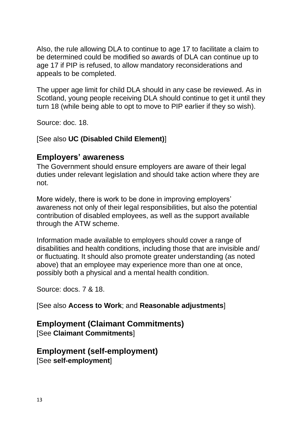Also, the rule allowing DLA to continue to age 17 to facilitate a claim to be determined could be modified so awards of DLA can continue up to age 17 if PIP is refused, to allow mandatory reconsiderations and appeals to be completed.

The upper age limit for child DLA should in any case be reviewed. As in Scotland, young people receiving DLA should continue to get it until they turn 18 (while being able to opt to move to PIP earlier if they so wish).

Source: doc. 18.

[See also **UC (Disabled Child Element)**]

### **Employers' awareness**

The Government should ensure employers are aware of their legal duties under relevant legislation and should take action where they are not.

More widely, there is work to be done in improving employers' awareness not only of their legal responsibilities, but also the potential contribution of disabled employees, as well as the support available through the ATW scheme.

Information made available to employers should cover a range of disabilities and health conditions, including those that are invisible and/ or fluctuating. It should also promote greater understanding (as noted above) that an employee may experience more than one at once, possibly both a physical and a mental health condition.

Source: docs. 7 & 18.

[See also **Access to Work**; and **Reasonable adjustments**]

#### **Employment (Claimant Commitments)** [See **Claimant Commitments**]

#### **Employment (self-employment)** [See **self-employment**]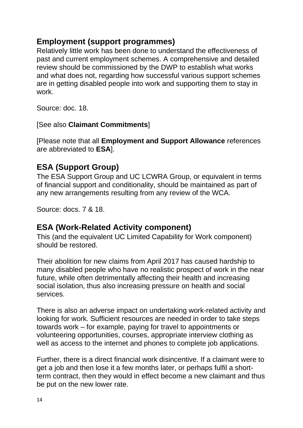## **Employment (support programmes)**

Relatively little work has been done to understand the effectiveness of past and current employment schemes. A comprehensive and detailed review should be commissioned by the DWP to establish what works and what does not, regarding how successful various support schemes are in getting disabled people into work and supporting them to stay in work.

Source: doc. 18.

[See also **Claimant Commitments**]

[Please note that all **Employment and Support Allowance** references are abbreviated to **ESA**].

# **ESA (Support Group)**

The ESA Support Group and UC LCWRA Group, or equivalent in terms of financial support and conditionality, should be maintained as part of any new arrangements resulting from any review of the WCA.

Source: docs. 7 & 18.

# **ESA (Work-Related Activity component)**

This (and the equivalent UC Limited Capability for Work component) should be restored.

Their abolition for new claims from April 2017 has caused hardship to many disabled people who have no realistic prospect of work in the near future, while often detrimentally affecting their health and increasing social isolation, thus also increasing pressure on health and social services.

There is also an adverse impact on undertaking work-related activity and looking for work. Sufficient resources are needed in order to take steps towards work – for example, paying for travel to appointments or volunteering opportunities, courses, appropriate interview clothing as well as access to the internet and phones to complete job applications.

Further, there is a direct financial work disincentive. If a claimant were to get a job and then lose it a few months later, or perhaps fulfil a shortterm contract, then they would in effect become a new claimant and thus be put on the new lower rate.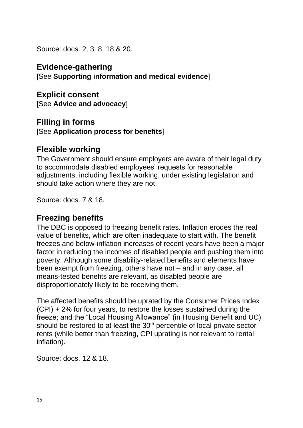Source: docs. 2, 3, 8, 18 & 20.

**Evidence-gathering** [See **Supporting information and medical evidence**]

**Explicit consent** [See **Advice and advocacy**]

#### **Filling in forms** [See **Application process for benefits**]

#### **Flexible working**

The Government should ensure employers are aware of their legal duty to accommodate disabled employees' requests for reasonable adjustments, including flexible working, under existing legislation and should take action where they are not.

Source: docs. 7 & 18.

#### **Freezing benefits**

The DBC is opposed to freezing benefit rates. Inflation erodes the real value of benefits, which are often inadequate to start with. The benefit freezes and below-inflation increases of recent years have been a major factor in reducing the incomes of disabled people and pushing them into poverty. Although some disability-related benefits and elements have been exempt from freezing, others have not – and in any case, all means-tested benefits are relevant, as disabled people are disproportionately likely to be receiving them.

The affected benefits should be uprated by the Consumer Prices Index (CPI) + 2% for four years, to restore the losses sustained during the freeze; and the "Local Housing Allowance" (in Housing Benefit and UC) should be restored to at least the 30<sup>th</sup> percentile of local private sector rents (while better than freezing, CPI uprating is not relevant to rental inflation).

Source: docs. 12 & 18.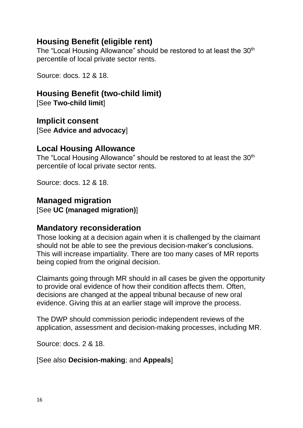### **Housing Benefit (eligible rent)**

The "Local Housing Allowance" should be restored to at least the 30<sup>th</sup> percentile of local private sector rents.

Source: docs. 12 & 18.

#### **Housing Benefit (two-child limit)**

[See **Two-child limit**]

**Implicit consent** [See **Advice and advocacy**]

#### **Local Housing Allowance**

The "Local Housing Allowance" should be restored to at least the 30<sup>th</sup> percentile of local private sector rents.

Source: docs. 12 & 18.

#### **Managed migration**

[See **UC (managed migration)**]

#### **Mandatory reconsideration**

Those looking at a decision again when it is challenged by the claimant should not be able to see the previous decision-maker's conclusions. This will increase impartiality. There are too many cases of MR reports being copied from the original decision.

Claimants going through MR should in all cases be given the opportunity to provide oral evidence of how their condition affects them. Often, decisions are changed at the appeal tribunal because of new oral evidence. Giving this at an earlier stage will improve the process.

The DWP should commission periodic independent reviews of the application, assessment and decision-making processes, including MR.

Source: docs. 2 & 18.

[See also **Decision-making**; and **Appeals**]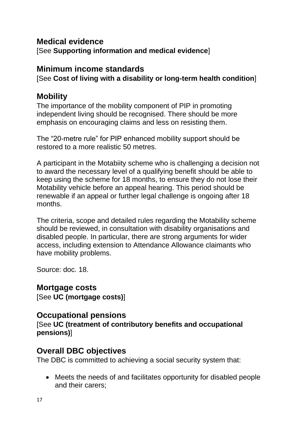#### **Medical evidence** [See **Supporting information and medical evidence**]

## **Minimum income standards**

[See **Cost of living with a disability or long-term health condition**]

## **Mobility**

The importance of the mobility component of PIP in promoting independent living should be recognised. There should be more emphasis on encouraging claims and less on resisting them.

The "20-metre rule" for PIP enhanced mobility support should be restored to a more realistic 50 metres.

A participant in the Motabiity scheme who is challenging a decision not to award the necessary level of a qualifying benefit should be able to keep using the scheme for 18 months, to ensure they do not lose their Motability vehicle before an appeal hearing. This period should be renewable if an appeal or further legal challenge is ongoing after 18 months.

The criteria, scope and detailed rules regarding the Motability scheme should be reviewed, in consultation with disability organisations and disabled people. In particular, there are strong arguments for wider access, including extension to Attendance Allowance claimants who have mobility problems.

Source: doc. 18.

**Mortgage costs** [See **UC (mortgage costs)**]

# **Occupational pensions**

[See **UC (treatment of contributory benefits and occupational pensions)**]

## **Overall DBC objectives**

The DBC is committed to achieving a social security system that:

• Meets the needs of and facilitates opportunity for disabled people and their carers;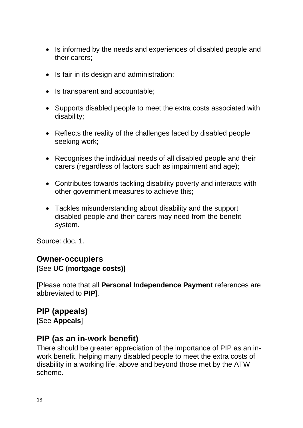- Is informed by the needs and experiences of disabled people and their carers;
- Is fair in its design and administration;
- Is transparent and accountable;
- Supports disabled people to meet the extra costs associated with disability;
- Reflects the reality of the challenges faced by disabled people seeking work;
- Recognises the individual needs of all disabled people and their carers (regardless of factors such as impairment and age);
- Contributes towards tackling disability poverty and interacts with other government measures to achieve this;
- Tackles misunderstanding about disability and the support disabled people and their carers may need from the benefit system.

Source: doc. 1.

#### **Owner-occupiers**

#### [See **UC (mortgage costs)**]

[Please note that all **Personal Independence Payment** references are abbreviated to **PIP**].

#### **PIP (appeals)**

[See **Appeals**]

#### **PIP (as an in-work benefit)**

There should be greater appreciation of the importance of PIP as an inwork benefit, helping many disabled people to meet the extra costs of disability in a working life, above and beyond those met by the ATW scheme.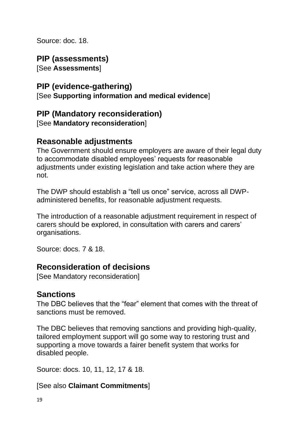Source: doc. 18.

## **PIP (assessments)**

[See **Assessments**]

## **PIP (evidence-gathering)**

[See **Supporting information and medical evidence**]

## **PIP (Mandatory reconsideration)**

[See **Mandatory reconsideration**]

## **Reasonable adjustments**

The Government should ensure employers are aware of their legal duty to accommodate disabled employees' requests for reasonable adjustments under existing legislation and take action where they are not.

The DWP should establish a "tell us once" service, across all DWPadministered benefits, for reasonable adjustment requests.

The introduction of a reasonable adjustment requirement in respect of carers should be explored, in consultation with carers and carers' organisations.

Source: docs. 7 & 18.

## **Reconsideration of decisions**

[See Mandatory reconsideration]

## **Sanctions**

The DBC believes that the "fear" element that comes with the threat of sanctions must be removed.

The DBC believes that removing sanctions and providing high-quality, tailored employment support will go some way to restoring trust and supporting a move towards a fairer benefit system that works for disabled people.

Source: docs. 10, 11, 12, 17 & 18.

#### [See also **Claimant Commitments**]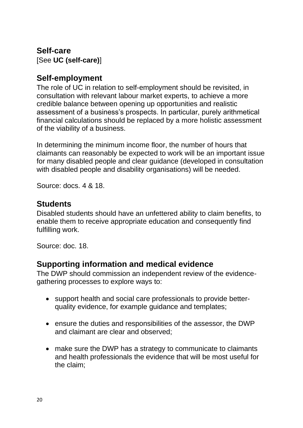## **Self-care** [See **UC (self-care)**]

## **Self-employment**

The role of UC in relation to self-employment should be revisited, in consultation with relevant labour market experts, to achieve a more credible balance between opening up opportunities and realistic assessment of a business's prospects. In particular, purely arithmetical financial calculations should be replaced by a more holistic assessment of the viability of a business.

In determining the minimum income floor, the number of hours that claimants can reasonably be expected to work will be an important issue for many disabled people and clear guidance (developed in consultation with disabled people and disability organisations) will be needed.

Source: docs. 4 & 18.

### **Students**

Disabled students should have an unfettered ability to claim benefits, to enable them to receive appropriate education and consequently find fulfilling work.

Source: doc. 18.

## **Supporting information and medical evidence**

The DWP should commission an independent review of the evidencegathering processes to explore ways to:

- support health and social care professionals to provide betterquality evidence, for example guidance and templates;
- ensure the duties and responsibilities of the assessor, the DWP and claimant are clear and observed;
- make sure the DWP has a strategy to communicate to claimants and health professionals the evidence that will be most useful for the claim;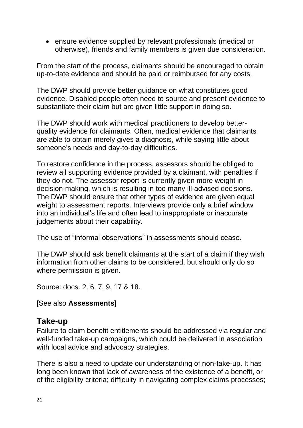• ensure evidence supplied by relevant professionals (medical or otherwise), friends and family members is given due consideration.

From the start of the process, claimants should be encouraged to obtain up-to-date evidence and should be paid or reimbursed for any costs.

The DWP should provide better guidance on what constitutes good evidence. Disabled people often need to source and present evidence to substantiate their claim but are given little support in doing so.

The DWP should work with medical practitioners to develop betterquality evidence for claimants. Often, medical evidence that claimants are able to obtain merely gives a diagnosis, while saying little about someone's needs and day-to-day difficulties.

To restore confidence in the process, assessors should be obliged to review all supporting evidence provided by a claimant, with penalties if they do not. The assessor report is currently given more weight in decision-making, which is resulting in too many ill-advised decisions. The DWP should ensure that other types of evidence are given equal weight to assessment reports. Interviews provide only a brief window into an individual's life and often lead to inappropriate or inaccurate judgements about their capability.

The use of "informal observations" in assessments should cease.

The DWP should ask benefit claimants at the start of a claim if they wish information from other claims to be considered, but should only do so where permission is given.

Source: docs. 2, 6, 7, 9, 17 & 18.

[See also **Assessments**]

#### **Take-up**

Failure to claim benefit entitlements should be addressed via regular and well-funded take-up campaigns, which could be delivered in association with local advice and advocacy strategies.

There is also a need to update our understanding of non-take-up. It has long been known that lack of awareness of the existence of a benefit, or of the eligibility criteria; difficulty in navigating complex claims processes;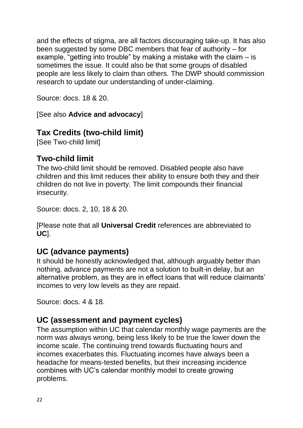and the effects of stigma, are all factors discouraging take-up. It has also been suggested by some DBC members that fear of authority – for example, "getting into trouble" by making a mistake with the claim – is sometimes the issue. It could also be that some groups of disabled people are less likely to claim than others. The DWP should commission research to update our understanding of under-claiming.

Source: docs. 18 & 20.

[See also **Advice and advocacy**]

# **Tax Credits (two-child limit)**

[See Two-child limit]

## **Two-child limit**

The two-child limit should be removed. Disabled people also have children and this limit reduces their ability to ensure both they and their children do not live in poverty. The limit compounds their financial insecurity.

Source: docs. 2, 10, 18 & 20.

[Please note that all **Universal Credit** references are abbreviated to **UC**].

# **UC (advance payments)**

It should be honestly acknowledged that, although arguably better than nothing, advance payments are not a solution to built-in delay, but an alternative problem, as they are in effect loans that will reduce claimants' incomes to very low levels as they are repaid.

Source: docs. 4 & 18.

# **UC (assessment and payment cycles)**

The assumption within UC that calendar monthly wage payments are the norm was always wrong, being less likely to be true the lower down the income scale. The continuing trend towards fluctuating hours and incomes exacerbates this. Fluctuating incomes have always been a headache for means-tested benefits, but their increasing incidence combines with UC's calendar monthly model to create growing problems.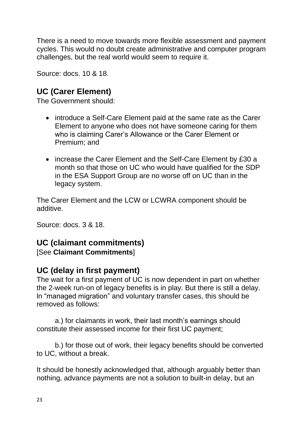There is a need to move towards more flexible assessment and payment cycles. This would no doubt create administrative and computer program challenges, but the real world would seem to require it.

Source: docs. 10 & 18.

# **UC (Carer Element)**

The Government should:

- introduce a Self-Care Element paid at the same rate as the Carer Element to anyone who does not have someone caring for them who is claiming Carer's Allowance or the Carer Element or Premium; and
- increase the Carer Element and the Self-Care Element by £30 a month so that those on UC who would have qualified for the SDP in the ESA Support Group are no worse off on UC than in the legacy system.

The Carer Element and the LCW or LCWRA component should be additive.

Source: docs. 3 & 18.

# **UC (claimant commitments)**

[See **Claimant Commitments**]

# **UC (delay in first payment)**

The wait for a first payment of UC is now dependent in part on whether the 2-week run-on of legacy benefits is in play. But there is still a delay. ln "managed migration" and voluntary transfer cases, this should be removed as follows:

a.) for claimants in work, their last month's earnings should constitute their assessed income for their first UC payment;

b.) for those out of work, their legacy benefits should be converted to UC, without a break.

It should be honestly acknowledged that, although arguably better than nothing, advance payments are not a solution to built-in delay, but an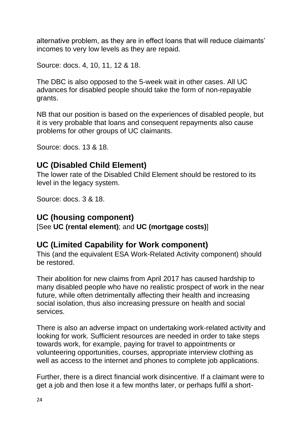alternative problem, as they are in effect loans that will reduce claimants' incomes to very low levels as they are repaid.

Source: docs. 4, 10, 11, 12 & 18.

The DBC is also opposed to the 5-week wait in other cases. All UC advances for disabled people should take the form of non-repayable grants.

NB that our position is based on the experiences of disabled people, but it is very probable that loans and consequent repayments also cause problems for other groups of UC claimants.

Source: docs. 13 & 18.

## **UC (Disabled Child Element)**

The lower rate of the Disabled Child Element should be restored to its level in the legacy system.

Source: docs. 3 & 18.

#### **UC (housing component)**

[See **UC (rental element)**; and **UC (mortgage costs)**]

#### **UC (Limited Capability for Work component)**

This (and the equivalent ESA Work-Related Activity component) should be restored.

Their abolition for new claims from April 2017 has caused hardship to many disabled people who have no realistic prospect of work in the near future, while often detrimentally affecting their health and increasing social isolation, thus also increasing pressure on health and social services.

There is also an adverse impact on undertaking work-related activity and looking for work. Sufficient resources are needed in order to take steps towards work, for example, paying for travel to appointments or volunteering opportunities, courses, appropriate interview clothing as well as access to the internet and phones to complete job applications.

Further, there is a direct financial work disincentive. If a claimant were to get a job and then lose it a few months later, or perhaps fulfil a short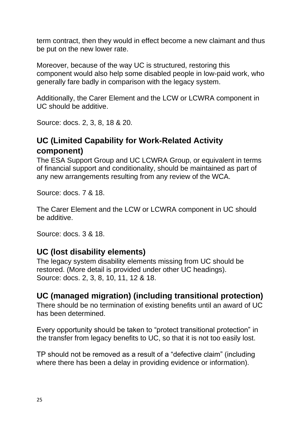term contract, then they would in effect become a new claimant and thus be put on the new lower rate.

Moreover, because of the way UC is structured, restoring this component would also help some disabled people in low-paid work, who generally fare badly in comparison with the legacy system.

Additionally, the Carer Element and the LCW or LCWRA component in UC should be additive.

Source: docs. 2, 3, 8, 18 & 20.

## **UC (Limited Capability for Work-Related Activity component)**

The ESA Support Group and UC LCWRA Group, or equivalent in terms of financial support and conditionality, should be maintained as part of any new arrangements resulting from any review of the WCA.

Source: docs. 7 & 18.

The Carer Element and the LCW or LCWRA component in UC should be additive.

Source: docs. 3 & 18.

## **UC (lost disability elements)**

The legacy system disability elements missing from UC should be restored. (More detail is provided under other UC headings). Source: docs. 2, 3, 8, 10, 11, 12 & 18.

## **UC (managed migration) (including transitional protection)**

There should be no termination of existing benefits until an award of UC has been determined.

Every opportunity should be taken to "protect transitional protection" in the transfer from legacy benefits to UC, so that it is not too easily lost.

TP should not be removed as a result of a "defective claim" (including where there has been a delay in providing evidence or information).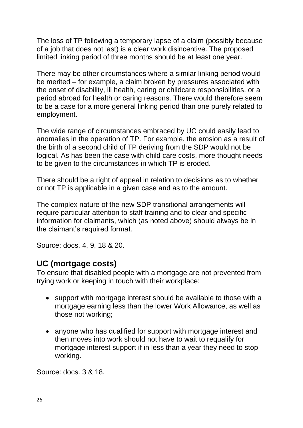The loss of TP following a temporary lapse of a claim (possibly because of a job that does not last) is a clear work disincentive. The proposed limited linking period of three months should be at least one year.

There may be other circumstances where a similar linking period would be merited – for example, a claim broken by pressures associated with the onset of disability, ill health, caring or childcare responsibilities, or a period abroad for health or caring reasons. There would therefore seem to be a case for a more general linking period than one purely related to employment.

The wide range of circumstances embraced by UC could easily lead to anomalies in the operation of TP. For example, the erosion as a result of the birth of a second child of TP deriving from the SDP would not be logical. As has been the case with child care costs, more thought needs to be given to the circumstances in which TP is eroded.

There should be a right of appeal in relation to decisions as to whether or not TP is applicable in a given case and as to the amount.

The complex nature of the new SDP transitional arrangements will require particular attention to staff training and to clear and specific information for claimants, which (as noted above) should always be in the claimant's required format.

Source: docs. 4, 9, 18 & 20.

#### **UC (mortgage costs)**

To ensure that disabled people with a mortgage are not prevented from trying work or keeping in touch with their workplace:

- support with mortgage interest should be available to those with a mortgage earning less than the lower Work Allowance, as well as those not working;
- anyone who has qualified for support with mortgage interest and then moves into work should not have to wait to requalify for mortgage interest support if in less than a year they need to stop working.

Source: docs. 3 & 18.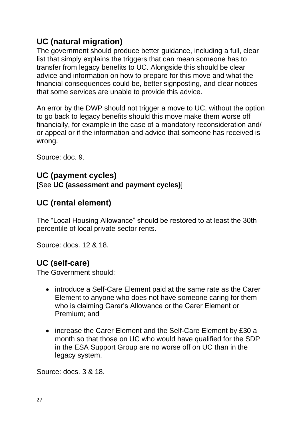# **UC (natural migration)**

The government should produce better guidance, including a full, clear list that simply explains the triggers that can mean someone has to transfer from legacy benefits to UC. Alongside this should be clear advice and information on how to prepare for this move and what the financial consequences could be, better signposting, and clear notices that some services are unable to provide this advice.

An error by the DWP should not trigger a move to UC, without the option to go back to legacy benefits should this move make them worse off financially, for example in the case of a mandatory reconsideration and/ or appeal or if the information and advice that someone has received is wrong.

Source: doc. 9.

### **UC (payment cycles)** [See **UC (assessment and payment cycles)**]

# **UC (rental element)**

The "Local Housing Allowance" should be restored to at least the 30th percentile of local private sector rents.

Source: docs. 12 & 18.

# **UC (self-care)**

The Government should:

- introduce a Self-Care Element paid at the same rate as the Carer Element to anyone who does not have someone caring for them who is claiming Carer's Allowance or the Carer Element or Premium; and
- increase the Carer Element and the Self-Care Element by £30 a month so that those on UC who would have qualified for the SDP in the ESA Support Group are no worse off on UC than in the legacy system.

Source: docs. 3 & 18.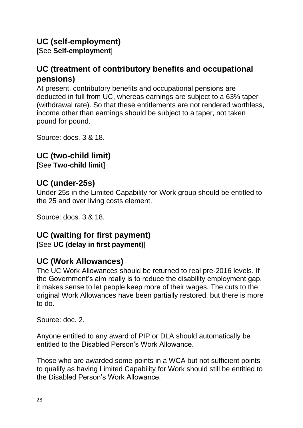## **UC (self-employment)**

[See **Self-employment**]

# **UC (treatment of contributory benefits and occupational pensions)**

At present, contributory benefits and occupational pensions are deducted in full from UC, whereas earnings are subject to a 63% taper (withdrawal rate). So that these entitlements are not rendered worthless, income other than earnings should be subject to a taper, not taken pound for pound.

Source: docs. 3 & 18.

## **UC (two-child limit)**

[See **Two-child limit**]

# **UC (under-25s)**

Under 25s in the Limited Capability for Work group should be entitled to the 25 and over living costs element.

Source: docs. 3 & 18.

## **UC (waiting for first payment)**

[See **UC (delay in first payment)**]

# **UC (Work Allowances)**

The UC Work Allowances should be returned to real pre-2016 levels. If the Government's aim really is to reduce the disability employment gap, it makes sense to let people keep more of their wages. The cuts to the original Work Allowances have been partially restored, but there is more to do.

Source: doc. 2.

Anyone entitled to any award of PIP or DLA should automatically be entitled to the Disabled Person's Work Allowance.

Those who are awarded some points in a WCA but not sufficient points to qualify as having Limited Capability for Work should still be entitled to the Disabled Person's Work Allowance.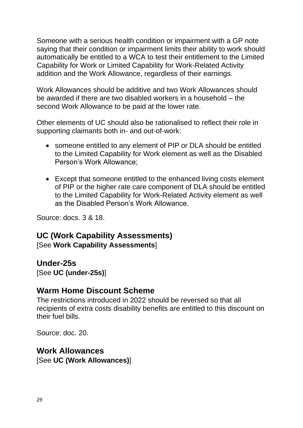Someone with a serious health condition or impairment with a GP note saying that their condition or impairment limits their ability to work should automatically be entitled to a WCA to test their entitlement to the Limited Capability for Work or Limited Capability for Work-Related Activity addition and the Work Allowance, regardless of their earnings.

Work Allowances should be additive and two Work Allowances should be awarded if there are two disabled workers in a household – the second Work Allowance to be paid at the lower rate.

Other elements of UC should also be rationalised to reflect their role in supporting claimants both in- and out-of-work:

- someone entitled to any element of PIP or DLA should be entitled to the Limited Capability for Work element as well as the Disabled Person's Work Allowance;
- Except that someone entitled to the enhanced living costs element of PIP or the higher rate care component of DLA should be entitled to the Limited Capability for Work-Related Activity element as well as the Disabled Person's Work Allowance.

Source: docs. 3 & 18.

#### **UC (Work Capability Assessments)** [See **Work Capability Assessments**]

#### **Under-25s**

[See **UC (under-25s)**]

#### **Warm Home Discount Scheme**

The restrictions introduced in 2022 should be reversed so that all recipients of extra costs disability benefits are entitled to this discount on their fuel bills.

Source: doc. 20.

#### **Work Allowances** [See **UC (Work Allowances)**]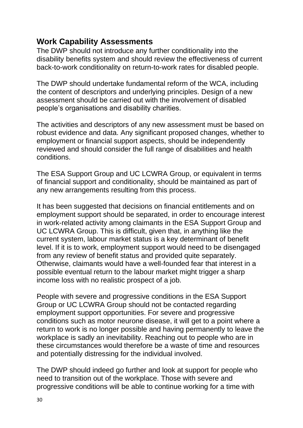### **Work Capability Assessments**

The DWP should not introduce any further conditionality into the disability benefits system and should review the effectiveness of current back-to-work conditionality on return-to-work rates for disabled people.

The DWP should undertake fundamental reform of the WCA, including the content of descriptors and underlying principles. Design of a new assessment should be carried out with the involvement of disabled people's organisations and disability charities.

The activities and descriptors of any new assessment must be based on robust evidence and data. Any significant proposed changes, whether to employment or financial support aspects, should be independently reviewed and should consider the full range of disabilities and health conditions.

The ESA Support Group and UC LCWRA Group, or equivalent in terms of financial support and conditionality, should be maintained as part of any new arrangements resulting from this process.

It has been suggested that decisions on financial entitlements and on employment support should be separated, in order to encourage interest in work-related activity among claimants in the ESA Support Group and UC LCWRA Group. This is difficult, given that, in anything like the current system, labour market status is a key determinant of benefit level. If it is to work, employment support would need to be disengaged from any review of benefit status and provided quite separately. Otherwise, claimants would have a well-founded fear that interest in a possible eventual return to the labour market might trigger a sharp income loss with no realistic prospect of a job.

People with severe and progressive conditions in the ESA Support Group or UC LCWRA Group should not be contacted regarding employment support opportunities. For severe and progressive conditions such as motor neurone disease, it will get to a point where a return to work is no longer possible and having permanently to leave the workplace is sadly an inevitability. Reaching out to people who are in these circumstances would therefore be a waste of time and resources and potentially distressing for the individual involved.

The DWP should indeed go further and look at support for people who need to transition out of the workplace. Those with severe and progressive conditions will be able to continue working for a time with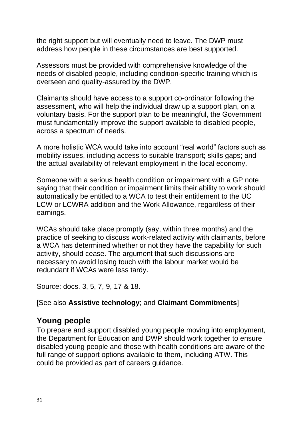the right support but will eventually need to leave. The DWP must address how people in these circumstances are best supported.

Assessors must be provided with comprehensive knowledge of the needs of disabled people, including condition-specific training which is overseen and quality-assured by the DWP.

Claimants should have access to a support co-ordinator following the assessment, who will help the individual draw up a support plan, on a voluntary basis. For the support plan to be meaningful, the Government must fundamentally improve the support available to disabled people, across a spectrum of needs.

A more holistic WCA would take into account "real world" factors such as mobility issues, including access to suitable transport; skills gaps; and the actual availability of relevant employment in the local economy.

Someone with a serious health condition or impairment with a GP note saying that their condition or impairment limits their ability to work should automatically be entitled to a WCA to test their entitlement to the UC LCW or LCWRA addition and the Work Allowance, regardless of their earnings.

WCAs should take place promptly (say, within three months) and the practice of seeking to discuss work-related activity with claimants, before a WCA has determined whether or not they have the capability for such activity, should cease. The argument that such discussions are necessary to avoid losing touch with the labour market would be redundant if WCAs were less tardy.

Source: docs. 3, 5, 7, 9, 17 & 18.

#### [See also **Assistive technology**; and **Claimant Commitments**]

## **Young people**

To prepare and support disabled young people moving into employment, the Department for Education and DWP should work together to ensure disabled young people and those with health conditions are aware of the full range of support options available to them, including ATW. This could be provided as part of careers guidance.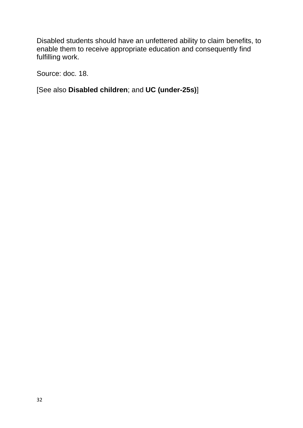Disabled students should have an unfettered ability to claim benefits, to enable them to receive appropriate education and consequently find fulfilling work.

Source: doc. 18.

[See also **Disabled children**; and **UC (under-25s)**]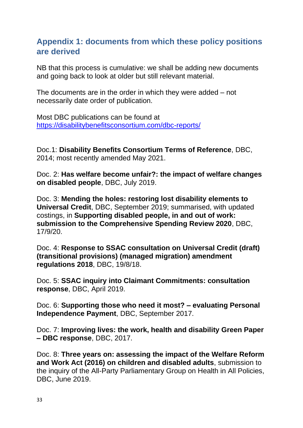### **Appendix 1: documents from which these policy positions are derived**

NB that this process is cumulative: we shall be adding new documents and going back to look at older but still relevant material.

The documents are in the order in which they were added – not necessarily date order of publication.

Most DBC publications can be found at <https://disabilitybenefitsconsortium.com/dbc-reports/>

Doc.1: **Disability Benefits Consortium Terms of Reference**, DBC, 2014; most recently amended May 2021.

Doc. 2: **Has welfare become unfair?: the impact of welfare changes on disabled people**, DBC, July 2019.

Doc. 3: **Mending the holes: restoring lost disability elements to Universal Credit**, DBC, September 2019; summarised, with updated costings, in **Supporting disabled people, in and out of work: submission to the Comprehensive Spending Review 2020**, DBC, 17/9/20.

Doc. 4: **Response to SSAC consultation on Universal Credit (draft) (transitional provisions) (managed migration) amendment regulations 2018**, DBC, 19/8/18.

Doc. 5: **SSAC inquiry into Claimant Commitments: consultation response**, DBC, April 2019.

Doc. 6: **Supporting those who need it most? – evaluating Personal Independence Payment**, DBC, September 2017.

Doc. 7: **Improving lives: the work, health and disability Green Paper – DBC response**, DBC, 2017.

Doc. 8: **Three years on: assessing the impact of the Welfare Reform and Work Act (2016) on children and disabled adults**, submission to the inquiry of the All-Party Parliamentary Group on Health in All Policies, DBC, June 2019.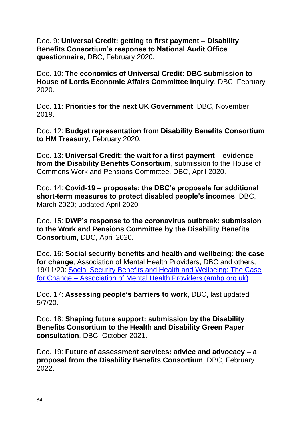Doc. 9: **Universal Credit: getting to first payment – Disability Benefits Consortium's response to National Audit Office questionnaire**, DBC, February 2020.

Doc. 10: **The economics of Universal Credit: DBC submission to House of Lords Economic Affairs Committee inquiry**, DBC, February 2020.

Doc. 11: **Priorities for the next UK Government**, DBC, November 2019.

Doc. 12: **Budget representation from Disability Benefits Consortium to HM Treasury**, February 2020.

Doc. 13: **Universal Credit: the wait for a first payment – evidence from the Disability Benefits Consortium**, submission to the House of Commons Work and Pensions Committee, DBC, April 2020.

Doc. 14: **Covid-19 – proposals: the DBC's proposals for additional short-term measures to protect disabled people's incomes**, DBC, March 2020; updated April 2020.

Doc. 15: **DWP's response to the coronavirus outbreak: submission to the Work and Pensions Committee by the Disability Benefits Consortium**, DBC, April 2020.

Doc. 16: **Social security benefits and health and wellbeing: the case for change**, Association of Mental Health Providers, DBC and others, 19/11/20: [Social Security Benefits and Health and Wellbeing: The Case](https://amhp.org.uk/open-letter-social-security-benefits-health-wellbeing-case-for-change/)  for Change – [Association of Mental Health Providers \(amhp.org.uk\)](https://amhp.org.uk/open-letter-social-security-benefits-health-wellbeing-case-for-change/)

Doc. 17: **Assessing people's barriers to work**, DBC, last updated 5/7/20.

Doc. 18: **Shaping future support: submission by the Disability Benefits Consortium to the Health and Disability Green Paper consultation**, DBC, October 2021.

Doc. 19: **Future of assessment services: advice and advocacy – a proposal from the Disability Benefits Consortium**, DBC, February 2022.